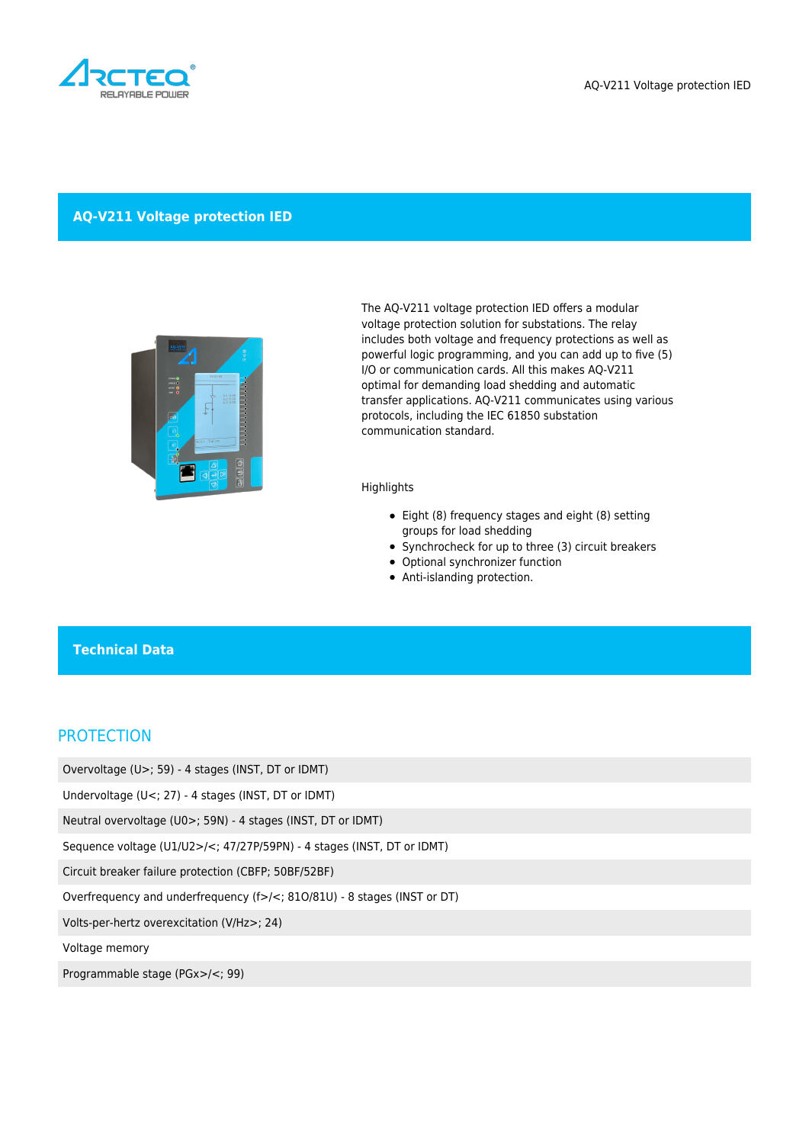

#### **AQ-V211 Voltage protection IED**



The AQ-V211 voltage protection IED offers a modular voltage protection solution for substations. The relay includes both voltage and frequency protections as well as powerful logic programming, and you can add up to five (5) I/O or communication cards. All this makes AQ-V211 optimal for demanding load shedding and automatic transfer applications. AQ-V211 communicates using various protocols, including the IEC 61850 substation communication standard.

#### **Highlights**

- Eight (8) frequency stages and eight (8) setting groups for load shedding
- Synchrocheck for up to three (3) circuit breakers
- Optional synchronizer function
- Anti-islanding protection.

#### **Technical Data**

### **PROTECTION**

Overvoltage (U>; 59) - 4 stages (INST, DT or IDMT)

Undervoltage (U<; 27) - 4 stages (INST, DT or IDMT)

Neutral overvoltage (U0>; 59N) - 4 stages (INST, DT or IDMT)

Sequence voltage (U1/U2>/<; 47/27P/59PN) - 4 stages (INST, DT or IDMT)

Circuit breaker failure protection (CBFP; 50BF/52BF)

Overfrequency and underfrequency (f>/<; 81O/81U) - 8 stages (INST or DT)

Volts-per-hertz overexcitation (V/Hz>; 24)

Voltage memory

Programmable stage (PGx>/<; 99)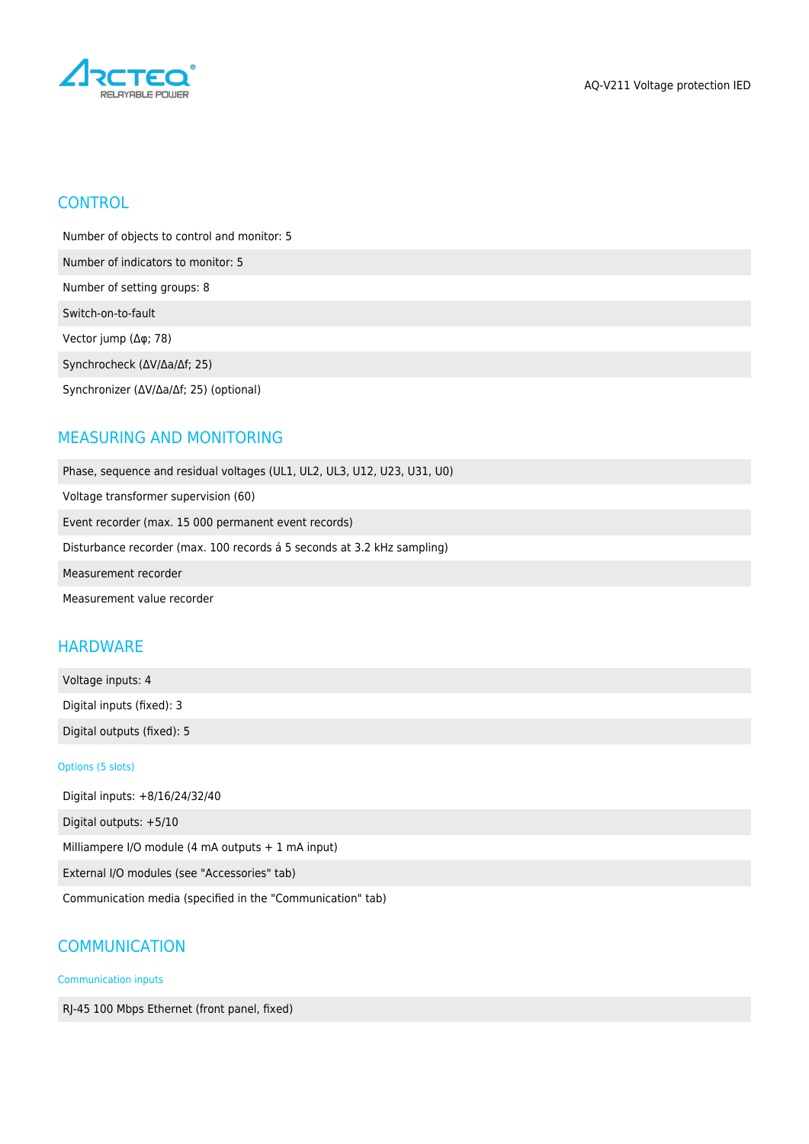

## **CONTROL**

Number of objects to control and monitor: 5

Number of indicators to monitor: 5

Number of setting groups: 8

Switch-on-to-fault

Vector jump (Δφ; 78)

Synchrocheck (ΔV/Δa/Δf; 25)

Synchronizer (ΔV/Δa/Δf; 25) (optional)

# MEASURING AND MONITORING

Phase, sequence and residual voltages (UL1, UL2, UL3, U12, U23, U31, U0) Voltage transformer supervision (60) Event recorder (max. 15 000 permanent event records) Disturbance recorder (max. 100 records á 5 seconds at 3.2 kHz sampling) Measurement recorder

Measurement value recorder

# **HARDWARE**

Voltage inputs: 4 Digital inputs (fixed): 3 Digital outputs (fixed): 5

Options (5 slots)

Digital inputs: +8/16/24/32/40 Digital outputs: +5/10 Milliampere I/O module (4 mA outputs + 1 mA input) External I/O modules (see "Accessories" tab) Communication media (specified in the "Communication" tab)

# **COMMUNICATION**

Communication inputs

RJ-45 100 Mbps Ethernet (front panel, fixed)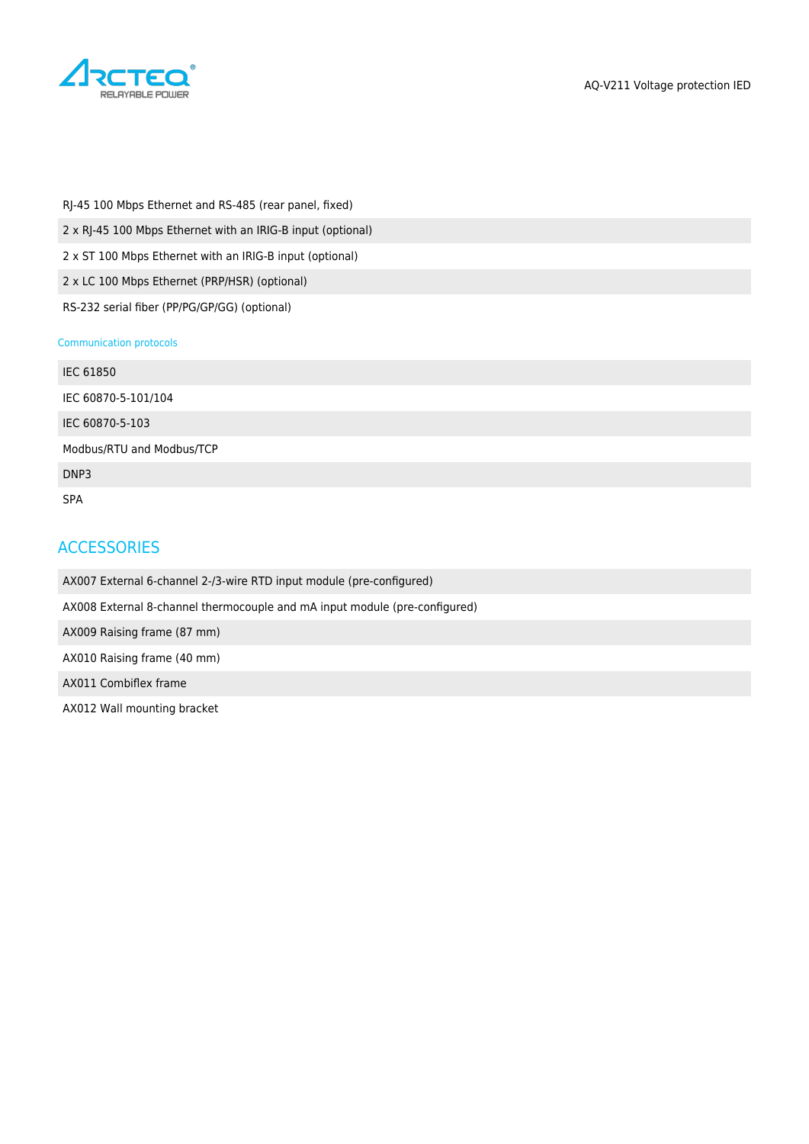

RJ-45 100 Mbps Ethernet and RS-485 (rear panel, fixed) 2 x RJ-45 100 Mbps Ethernet with an IRIG-B input (optional) 2 x ST 100 Mbps Ethernet with an IRIG-B input (optional) 2 x LC 100 Mbps Ethernet (PRP/HSR) (optional)

RS-232 serial fiber (PP/PG/GP/GG) (optional)

#### Communication protocols

| IEC 61850                 |  |
|---------------------------|--|
| IEC 60870-5-101/104       |  |
| IEC 60870-5-103           |  |
| Modbus/RTU and Modbus/TCP |  |
| DNP3                      |  |
| <b>SPA</b>                |  |

### **ACCESSORIES**

AX007 External 6-channel 2-/3-wire RTD input module (pre-configured)

AX008 External 8-channel thermocouple and mA input module (pre-configured)

AX009 Raising frame (87 mm)

AX010 Raising frame (40 mm)

AX011 Combiflex frame

AX012 Wall mounting bracket